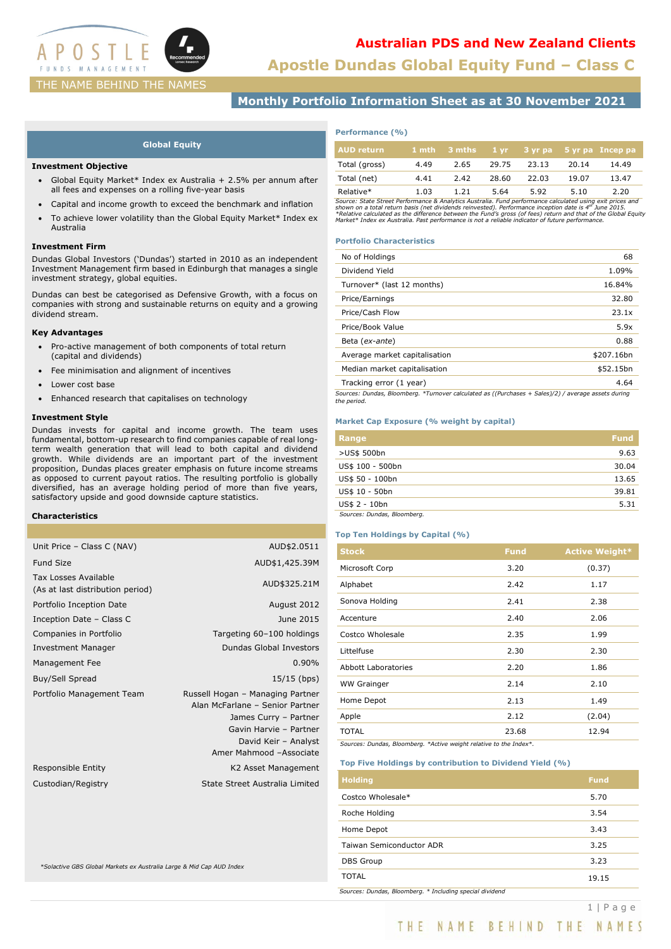

**Apostle Dundas Global Equity Fund – Class C**

# **Monthly Portfolio Information Sheet as at 30 November 2021**

## **Global Equity**

### **Investment Objective**

- Global Equity Market\* Index ex Australia + 2.5% per annum after all fees and expenses on a rolling five-year basis
- Capital and income growth to exceed the benchmark and inflation
- To achieve lower volatility than the Global Equity Market\* Index ex Australia

### **Investment Firm**

Dundas Global Investors ('Dundas') started in 2010 as an independent Investment Management firm based in Edinburgh that manages a single investment strategy, global equities.

Dundas can best be categorised as Defensive Growth, with a focus on companies with strong and sustainable returns on equity and a growing dividend stream.

### **Key Advantages**

- Pro-active management of both components of total return (capital and dividends)
- Fee minimisation and alignment of incentives
- Lower cost base
- Enhanced research that capitalises on technology

## **Investment Style**

Dundas invests for capital and income growth. The team uses fundamental, bottom-up research to find companies capable of real longterm wealth generation that will lead to both capital and dividend growth. While dividends are an important part of the investment proposition, Dundas places greater emphasis on future income streams as opposed to current payout ratios. The resulting portfolio is globally diversified, has an average holding period of more than five years, satisfactory upside and good downside capture statistics.

## **Characteristics**

| Unit Price - Class C (NAV)                               | AUD\$2.0511                                                                                                                                                               |
|----------------------------------------------------------|---------------------------------------------------------------------------------------------------------------------------------------------------------------------------|
| <b>Fund Size</b>                                         | AUD\$1,425.39M                                                                                                                                                            |
| Tax Losses Available<br>(As at last distribution period) | AUD\$325.21M                                                                                                                                                              |
| Portfolio Inception Date                                 | August 2012                                                                                                                                                               |
| Inception Date - Class C                                 | June 2015                                                                                                                                                                 |
| Companies in Portfolio                                   | Targeting 60-100 holdings                                                                                                                                                 |
| <b>Investment Manager</b>                                | Dundas Global Investors                                                                                                                                                   |
| Management Fee                                           | 0.90%                                                                                                                                                                     |
| Buy/Sell Spread                                          | 15/15 (bps)                                                                                                                                                               |
| Portfolio Management Team                                | Russell Hogan - Managing Partner<br>Alan McFarlane - Senior Partner<br>James Curry - Partner<br>Gavin Harvie - Partner<br>David Keir - Analyst<br>Amer Mahmood -Associate |
| Responsible Entity                                       | K2 Asset Management                                                                                                                                                       |
| Custodian/Registry                                       | State Street Australia Limited                                                                                                                                            |
|                                                          |                                                                                                                                                                           |

*\*Solactive GBS Global Markets ex Australia Large & Mid Cap AUD Index*

| Performance (%) |  |  |
|-----------------|--|--|
|-----------------|--|--|

| <b>AUD return</b> |      | $1$ mth $3$ mths |       |       |       | 1 yr 3 yr pa 5 yr pa Incep pa |
|-------------------|------|------------------|-------|-------|-------|-------------------------------|
| Total (gross)     | 4.49 | 2.65             | 29.75 | 23.13 | 20.14 | 14.49                         |
| Total (net)       | 4.41 | 2.42             | 28.60 | 22.03 | 19.07 | 13.47                         |
| Relative*         | 1.03 | 1.21             | 5.64  | 5.92  | 5.10  | 2.20                          |

Relative\*<br>Source: State Street Performance & Analytics Australia. Fund performance calculated using exit prices and<br>shown on a total return basis (net dividends reinvested). Performance inception date is 4<sup>m</sup> June 2015.<br>\*R

### **Portfolio Characteristics**

| No of Holdings                                                                                                     | 68         |
|--------------------------------------------------------------------------------------------------------------------|------------|
| Dividend Yield                                                                                                     | 1.09%      |
| Turnover* (last 12 months)                                                                                         | 16.84%     |
| Price/Earnings                                                                                                     | 32.80      |
| Price/Cash Flow                                                                                                    | 23.1x      |
| Price/Book Value                                                                                                   | 5.9x       |
| Beta (ex-ante)                                                                                                     | 0.88       |
| Average market capitalisation                                                                                      | \$207.16bn |
| Median market capitalisation                                                                                       | \$52.15bn  |
| Tracking error (1 year)                                                                                            | 4.64       |
| Sources: Dundas, Bloomberg. *Turnover calculated as ((Purchases + Sales)/2) / average assets during<br>the period. |            |

# **Market Cap Exposure (% weight by capital)**

| Range                       | <b>Fund</b> |
|-----------------------------|-------------|
| >US\$ 500bn                 | 9.63        |
| US\$ 100 - 500bn            | 30.04       |
| US\$ 50 - 100bn             | 13.65       |
| US\$ 10 - 50bn              | 39.81       |
| US\$ 2 - 10bn               | 5.31        |
| Sources: Dundas, Bloomberg. |             |

## **Top Ten Holdings by Capital (%)**

| <b>Fund</b> | <b>Active Weight*</b> |
|-------------|-----------------------|
| 3.20        | (0.37)                |
| 2.42        | 1.17                  |
| 2.41        | 2.38                  |
| 2.40        | 2.06                  |
| 2.35        | 1.99                  |
| 2.30        | 2.30                  |
| 2.20        | 1.86                  |
| 2.14        | 2.10                  |
| 2.13        | 1.49                  |
| 2.12        | (2.04)                |
| 23.68       | 12.94                 |
|             |                       |

*Sources: Dundas, Bloomberg. \*Active weight relative to the Index\*.*

### **Top Five Holdings by contribution to Dividend Yield (%)**

| <b>Holding</b>                                           | <b>Fund</b> |
|----------------------------------------------------------|-------------|
| Costco Wholesale*                                        | 5.70        |
| Roche Holding                                            | 3.54        |
| Home Depot                                               | 3.43        |
| Taiwan Semiconductor ADR                                 | 3.25        |
| <b>DBS</b> Group                                         | 3.23        |
| <b>TOTAL</b>                                             | 19.15       |
| Sources: Dundas, Bloomberg. * Including special dividend |             |

THE NAME BEHIND THE NAMES

1 | Page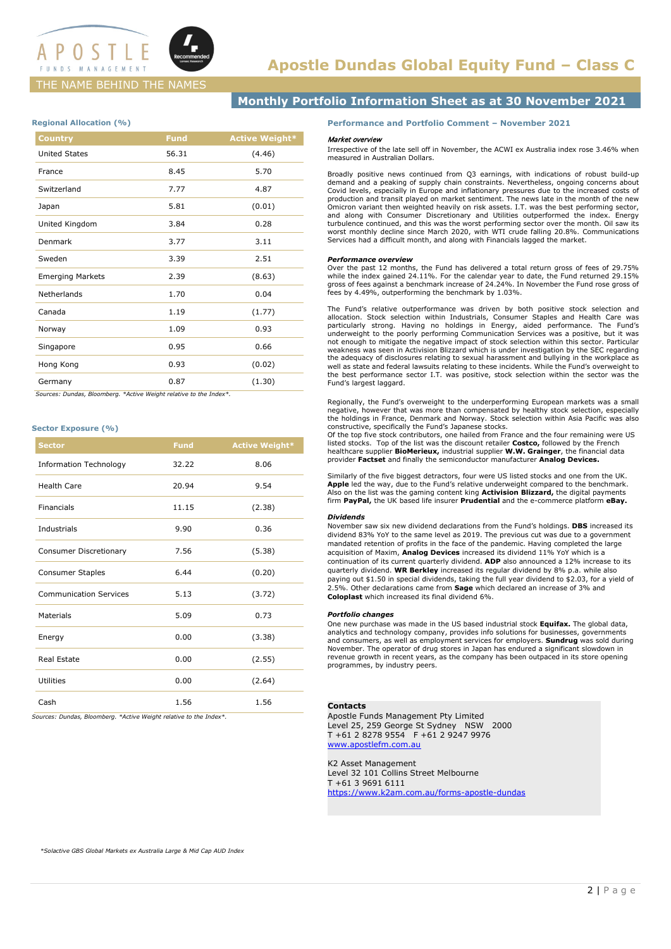

## THE NAME BEHIND THE NAMES

# **Monthly Portfolio Information Sheet as at 30 November 2021**

## **Regional Allocation (%)**

| <b>Country</b>          | <b>Fund</b> | <b>Active Weight*</b> |
|-------------------------|-------------|-----------------------|
| <b>United States</b>    | 56.31       | (4.46)                |
| France                  | 8.45        | 5.70                  |
| Switzerland             | 7.77        | 4.87                  |
| Japan                   | 5.81        | (0.01)                |
| United Kingdom          | 3.84        | 0.28                  |
| Denmark                 | 3.77        | 3.11                  |
| Sweden                  | 3.39        | 2.51                  |
| <b>Emerging Markets</b> | 2.39        | (8.63)                |
| Netherlands             | 1.70        | 0.04                  |
| Canada                  | 1.19        | (1.77)                |
| Norway                  | 1.09        | 0.93                  |
| Singapore               | 0.95        | 0.66                  |
| Hong Kong               | 0.93        | (0.02)                |
| Germany                 | 0.87        | (1.30)                |

 *Sources: Dundas, Bloomberg. \*Active Weight relative to the Index\*.*

### **Sector Exposure (%)**

| <b>Sector</b>                 | <b>Fund</b> | <b>Active Weight*</b> |
|-------------------------------|-------------|-----------------------|
| <b>Information Technology</b> | 32.22       | 8.06                  |
| <b>Health Care</b>            | 20.94       | 9.54                  |
| <b>Financials</b>             | 11.15       | (2.38)                |
| Industrials                   | 9.90        | 0.36                  |
| <b>Consumer Discretionary</b> | 7.56        | (5.38)                |
| <b>Consumer Staples</b>       | 6.44        | (0.20)                |
| <b>Communication Services</b> | 5.13        | (3.72)                |
| Materials                     | 5.09        | 0.73                  |
| Energy                        | 0.00        | (3.38)                |
| Real Estate                   | 0.00        | (2.55)                |
| <b>Utilities</b>              | 0.00        | (2.64)                |
| Cash                          | 1.56        | 1.56                  |

*Sources: Dundas, Bloomberg. \*Active Weight relative to the Index\*.*

**Performance and Portfolio Comment – November 2021**

### Market overview

Irrespective of the late sell off in November, the ACWI ex Australia index rose 3.46% when measured in Australian Dollars.

Broadly positive news continued from Q3 earnings, with indications of robust build-up demand and a peaking of supply chain constraints. Nevertheless, ongoing concerns about Covid levels, especially in Europe and inflationary pressures due to the increased costs of production and transit played on market sentiment. The news late in the month of the new Omicron variant then weighted heavily on risk assets. I.T. was the best performing sector, and along with Consumer Discretionary and Utilities outperformed the index. Energy turbulence continued, and this was the worst performing sector over the month. Oil saw its worst monthly decline since March 2020, with WTI crude falling 20.8%. Communications Services had a difficult month, and along with Financials lagged the market.

### *Performance overview*

Over the past 12 months, the Fund has delivered a total return gross of fees of 29.75% while the index gained 24.11%. For the calendar year to date, the Fund returned 29.15% gross of fees against a benchmark increase of 24.24%. In November the Fund rose gross of fees by 4.49%, outperforming the benchmark by 1.03%.

The Fund's relative outperformance was driven by both positive stock selection and allocation. Stock selection within Industrials, Consumer Staples and Health Care was particularly strong. Having no holdings in Energy, aid weakness was seen in Activision Blizzard which is under investigation by the SEC regarding<br>the adequacy of disclosures relating to sexual harassment and bullying in the workplace as<br>well as state and federal lawsuits relat the best performance sector I.T. was positive, stock selection within the sector was the Fund's largest laggard.

Regionally, the Fund's overweight to the underperforming European markets was a small negative, however that was more than compensated by healthy stock selection, especially the holdings in France, Denmark and Norway. Stock selection within Asia Pacific was also constructive, specifically the Fund's Japanese stocks.

Of the top five stock contributors, one hailed from France and the four remaining were US<br>listed stocks. Top of the list was the discount retailer **Costco,** followed by the French<br>healthcare supplier **BioMerieux,** industr provider **Factset** and finally the semiconductor manufacturer **Analog Devices.**

Similarly of the five biggest detractors, four were US listed stocks and one from the UK. **Apple** led the way, due to the Fund's relative underweight compared to the benchmark. Also on the list was the gaming content king **Activision Blizzard,** the digital payments firm **PayPal,** the UK based life insurer **Prudential** and the e-commerce platform **eBay.**

#### *Dividends*

November saw six new dividend declarations from the Fund's holdings. **DBS** increased its dividend 83% YoY to the same level as 2019. The previous cut was due to a government mandated retention of profits in the face of the pandemic. Having completed the large acquisition of Maxim, **Analog Devices** increased its dividend 11% YoY which is a continuation of its current quarterly dividend. **ADP** also announced a 12% increase to its quarterly dividend. **WR Berkley** increased its regular dividend by 8% p.a. while also paying out \$1.50 in special dividends, taking the full year dividend to \$2.03, for a yield of 2.5%. Other declarations came from **Sage** which declared an increase of 3% and **Coloplast** which increased its final dividend 6%.

#### *Portfolio changes*

One new purchase was made in the US based industrial stock **Equifax.** The global data, analytics and technology company, provides info solutions for businesses, governments<br>and consumers, as well as employment services for employers. **Sundrug** was sold during<br>November. The operator of drug stores in Japan ha revenue growth in recent years, as the company has been outpaced in its store opening programmes, by industry peers.

### **Contacts**

Apostle Funds Management Pty Limited Level 25, 259 George St Sydney NSW 2000 T +61 2 8278 9554 F +61 2 9247 9976 [www.apostlefm.com.au](http://www.apostlefm.com.au/)

K2 Asset Management Level 32 101 Collins Street Melbourne T +61 3 9691 6111 <https://www.k2am.com.au/forms-apostle-dundas>